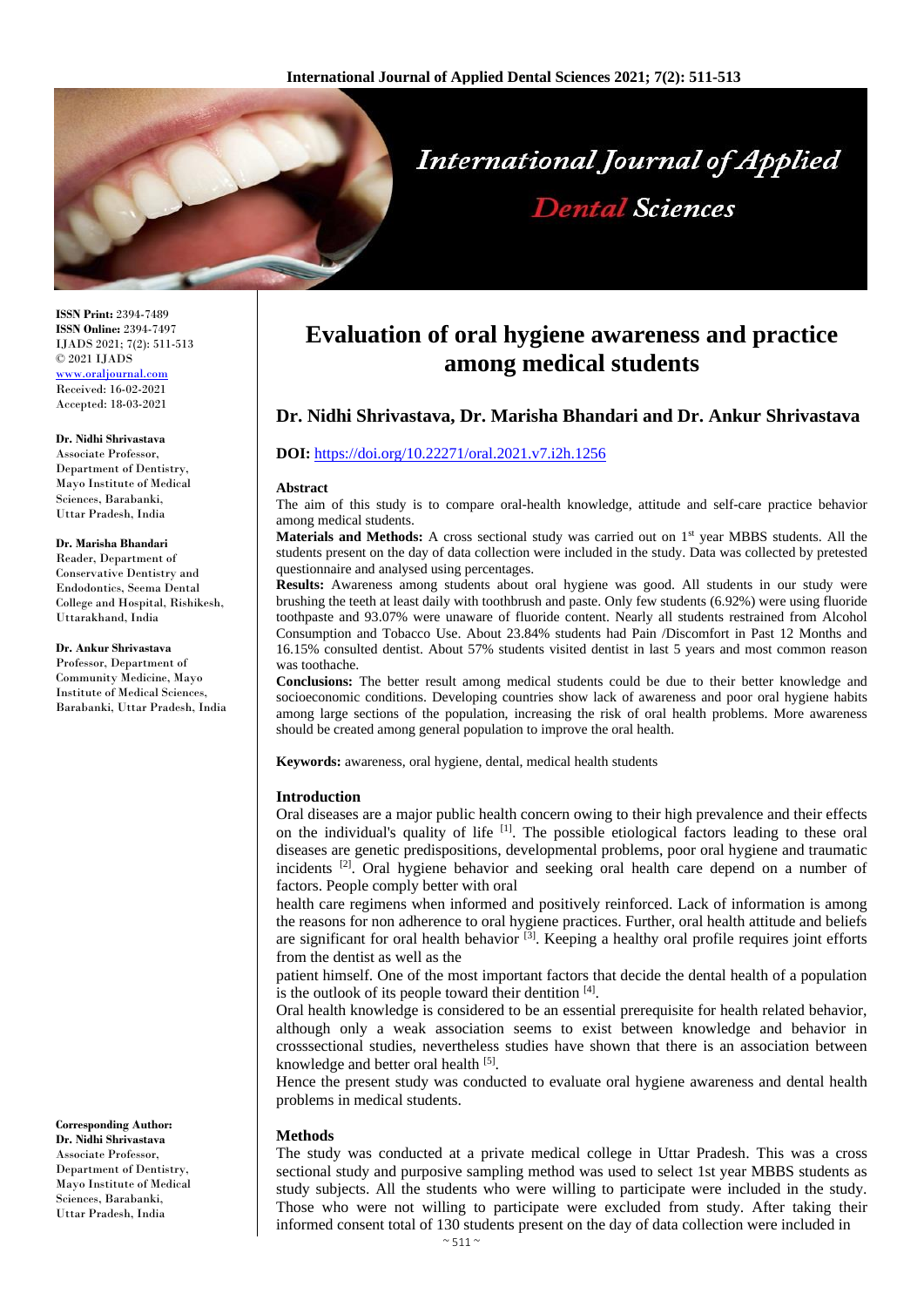

**ISSN Print:** 2394-7489 **ISSN Online:** 2394-7497 IJADS 2021; 7(2): 511-513 © 2021 IJADS [www.oraljournal.com](http://www.oraljournal.com/) Received: 16-02-2021 Accepted: 18-03-2021

**Dr. Nidhi Shrivastava**

Associate Professor, Department of Dentistry, Mayo Institute of Medical Sciences, Barabanki, Uttar Pradesh, India

#### **Dr. Marisha Bhandari**

Reader, Department of Conservative Dentistry and Endodontics, Seema Dental College and Hospital, Rishikesh, Uttarakhand, India

#### **Dr. Ankur Shrivastava**

Professor, Department of Community Medicine, Mayo Institute of Medical Sciences, Barabanki, Uttar Pradesh, India

**Corresponding Author: Dr. Nidhi Shrivastava** Associate Professor, Department of Dentistry, Mayo Institute of Medical Sciences, Barabanki, Uttar Pradesh, India

# **Evaluation of oral hygiene awareness and practice among medical students**

# **Dr. Nidhi Shrivastava, Dr. Marisha Bhandari and Dr. Ankur Shrivastava**

## **DOI:** <https://doi.org/10.22271/oral.2021.v7.i2h.1256>

#### **Abstract**

The aim of this study is to compare oral-health knowledge, attitude and self-care practice behavior among medical students.

**Materials and Methods:** A cross sectional study was carried out on 1<sup>st</sup> year MBBS students. All the students present on the day of data collection were included in the study. Data was collected by pretested questionnaire and analysed using percentages.

**Results:** Awareness among students about oral hygiene was good. All students in our study were brushing the teeth at least daily with toothbrush and paste. Only few students (6.92%) were using fluoride toothpaste and 93.07% were unaware of fluoride content. Nearly all students restrained from Alcohol Consumption and Tobacco Use. About 23.84% students had Pain /Discomfort in Past 12 Months and 16.15% consulted dentist. About 57% students visited dentist in last 5 years and most common reason was toothache.

**Conclusions:** The better result among medical students could be due to their better knowledge and socioeconomic conditions. Developing countries show lack of awareness and poor oral hygiene habits among large sections of the population, increasing the risk of oral health problems. More awareness should be created among general population to improve the oral health.

**Keywords:** awareness, oral hygiene, dental, medical health students

## **Introduction**

Oral diseases are a major public health concern owing to their high prevalence and their effects on the individual's quality of life <sup>[1]</sup>. The possible etiological factors leading to these oral diseases are genetic predispositions, developmental problems, poor oral hygiene and traumatic incidents  $^{[2]}$ . Oral hygiene behavior and seeking oral health care depend on a number of factors. People comply better with oral

health care regimens when informed and positively reinforced. Lack of information is among the reasons for non adherence to oral hygiene practices. Further, oral health attitude and beliefs are significant for oral health behavior <sup>[3]</sup>. Keeping a healthy oral profile requires joint efforts from the dentist as well as the

patient himself. One of the most important factors that decide the dental health of a population is the outlook of its people toward their dentition [4].

Oral health knowledge is considered to be an essential prerequisite for health related behavior, although only a weak association seems to exist between knowledge and behavior in crosssectional studies, nevertheless studies have shown that there is an association between knowledge and better oral health [5].

Hence the present study was conducted to evaluate oral hygiene awareness and dental health problems in medical students.

## **Methods**

The study was conducted at a private medical college in Uttar Pradesh. This was a cross sectional study and purposive sampling method was used to select 1st year MBBS students as study subjects. All the students who were willing to participate were included in the study. Those who were not willing to participate were excluded from study. After taking their informed consent total of 130 students present on the day of data collection were included in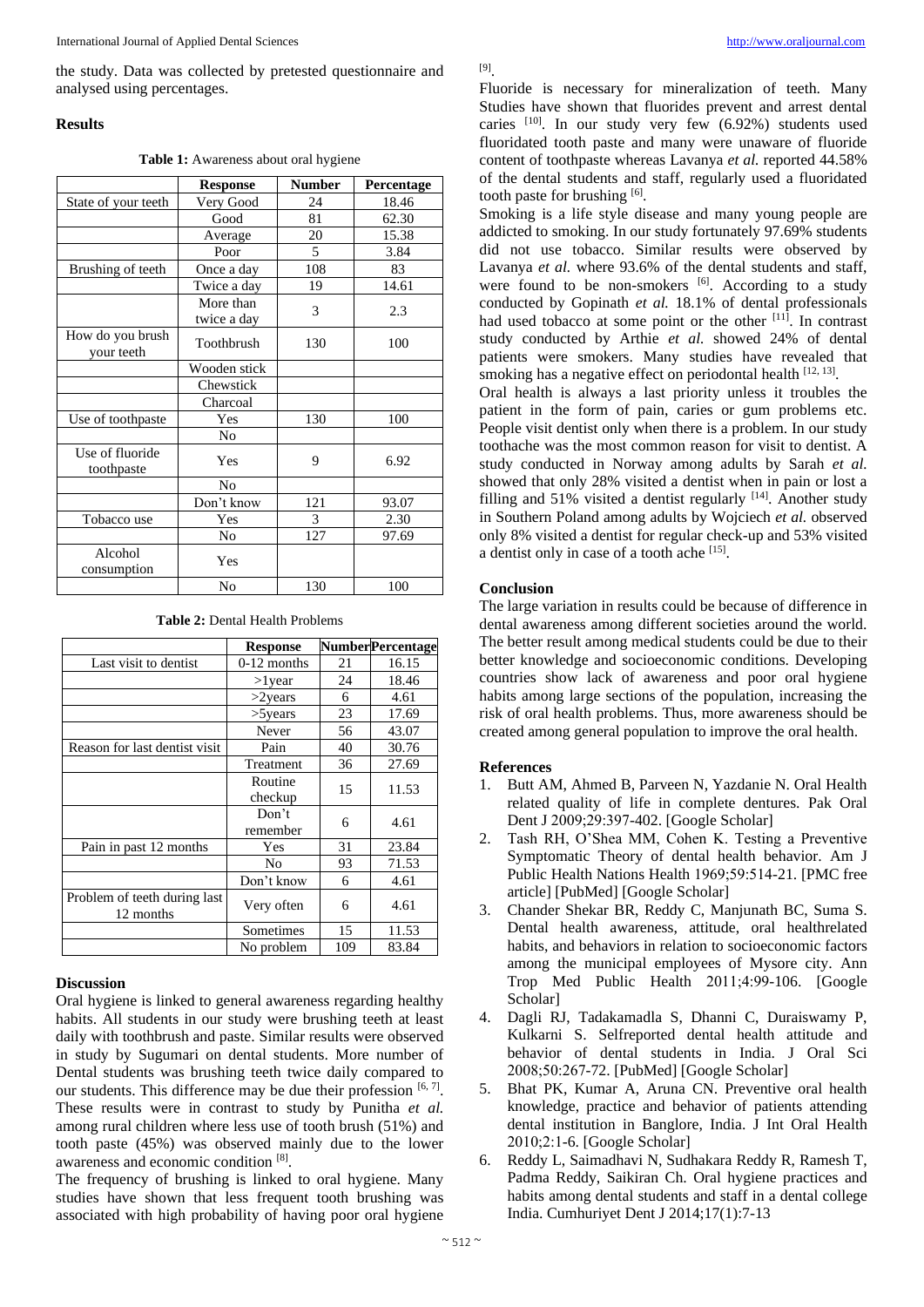the study. Data was collected by pretested questionnaire and analysed using percentages.

## **Results**

**Table 1:** Awareness about oral hygiene

|                                | <b>Response</b>          | <b>Number</b> | Percentage |
|--------------------------------|--------------------------|---------------|------------|
| State of your teeth            | Very Good                | 24            |            |
|                                | Good                     | 81            | 62.30      |
|                                | Average                  | 20            | 15.38      |
|                                | Poor                     | 5             | 3.84       |
| Brushing of teeth              | 108<br>Once a day        |               | 83         |
|                                | Twice a day              | 19            | 14.61      |
|                                | More than<br>twice a day | 3             | 2.3        |
| How do you brush<br>your teeth | Toothbrush               | 130           | 100        |
|                                | Wooden stick             |               |            |
|                                | Chewstick                |               |            |
|                                | Charcoal                 |               |            |
| Use of toothpaste              | Yes                      | 130           | 100        |
|                                | No                       |               |            |
| Use of fluoride<br>toothpaste  | Yes                      | 9             | 6.92       |
|                                | No                       |               |            |
|                                | Don't know               | 121           | 93.07      |
| Tobacco use                    | Yes                      | 3             | 2.30       |
|                                | No                       | 127           | 97.69      |
| Alcohol<br>consumption         | Yes                      |               |            |
|                                | No                       | 130           | 100        |

| <b>Table 2:</b> Dental Health Problems |  |
|----------------------------------------|--|
|----------------------------------------|--|

|                                           | <b>Response</b>    |     | <b>NumberPercentage</b> |
|-------------------------------------------|--------------------|-----|-------------------------|
| Last visit to dentist                     | $0-12$ months      | 21  | 16.15                   |
|                                           | $>1$ year          | 24  | 18.46                   |
|                                           | $>2$ years         | 6   | 4.61                    |
|                                           | $>5$ years         | 23  | 17.69                   |
|                                           | Never              | 56  | 43.07                   |
| Reason for last dentist visit             | Pain               | 40  | 30.76                   |
|                                           | Treatment          | 36  | 27.69                   |
|                                           | Routine<br>checkup | 15  | 11.53                   |
|                                           | Don't<br>remember  | 6   | 4.61                    |
| Pain in past 12 months                    | Yes                | 31  | 23.84                   |
|                                           | No                 | 93  | 71.53                   |
|                                           | Don't know         | 6   | 4.61                    |
| Problem of teeth during last<br>12 months | Very often         | 6   | 4.61                    |
|                                           | Sometimes          | 15  | 11.53                   |
|                                           | No problem         | 109 | 83.84                   |

# **Discussion**

Oral hygiene is linked to general awareness regarding healthy habits. All students in our study were brushing teeth at least daily with toothbrush and paste. Similar results were observed in study by Sugumari on dental students. More number of Dental students was brushing teeth twice daily compared to our students. This difference may be due their profession [6,7]. These results were in contrast to study by Punitha *et al.* among rural children where less use of tooth brush (51%) and tooth paste (45%) was observed mainly due to the lower awareness and economic condition [8] .

The frequency of brushing is linked to oral hygiene. Many studies have shown that less frequent tooth brushing was associated with high probability of having poor oral hygiene

## [9] .

Fluoride is necessary for mineralization of teeth. Many Studies have shown that fluorides prevent and arrest dental caries <sup>[10]</sup>. In our study very few (6.92%) students used fluoridated tooth paste and many were unaware of fluoride content of toothpaste whereas Lavanya *et al.* reported 44.58% of the dental students and staff, regularly used a fluoridated tooth paste for brushing [6].

Smoking is a life style disease and many young people are addicted to smoking. In our study fortunately 97.69% students did not use tobacco. Similar results were observed by Lavanya *et al.* where 93.6% of the dental students and staff, were found to be non-smokers [6]. According to a study conducted by Gopinath *et al.* 18.1% of dental professionals had used tobacco at some point or the other <sup>[11]</sup>. In contrast study conducted by Arthie *et al.* showed 24% of dental patients were smokers. Many studies have revealed that smoking has a negative effect on periodontal health [12, 13].

Oral health is always a last priority unless it troubles the patient in the form of pain, caries or gum problems etc. People visit dentist only when there is a problem. In our study toothache was the most common reason for visit to dentist. A study conducted in Norway among adults by Sarah *et al.* showed that only 28% visited a dentist when in pain or lost a filling and 51% visited a dentist regularly [14]. Another study in Southern Poland among adults by Wojciech *et al.* observed only 8% visited a dentist for regular check-up and 53% visited a dentist only in case of a tooth ache [15].

## **Conclusion**

The large variation in results could be because of difference in dental awareness among different societies around the world. The better result among medical students could be due to their better knowledge and socioeconomic conditions. Developing countries show lack of awareness and poor oral hygiene habits among large sections of the population, increasing the risk of oral health problems. Thus, more awareness should be created among general population to improve the oral health.

# **References**

- 1. Butt AM, Ahmed B, Parveen N, Yazdanie N. Oral Health related quality of life in complete dentures. Pak Oral Dent J 2009;29:397-402. [Google Scholar]
- 2. Tash RH, O'Shea MM, Cohen K. Testing a Preventive Symptomatic Theory of dental health behavior. Am J Public Health Nations Health 1969;59:514-21. [PMC free article] [PubMed] [Google Scholar]
- 3. Chander Shekar BR, Reddy C, Manjunath BC, Suma S. Dental health awareness, attitude, oral healthrelated habits, and behaviors in relation to socioeconomic factors among the municipal employees of Mysore city. Ann Trop Med Public Health 2011;4:99-106. [Google Scholar]
- 4. Dagli RJ, Tadakamadla S, Dhanni C, Duraiswamy P, Kulkarni S. Selfreported dental health attitude and behavior of dental students in India. J Oral Sci 2008;50:267-72. [PubMed] [Google Scholar]
- 5. Bhat PK, Kumar A, Aruna CN. Preventive oral health knowledge, practice and behavior of patients attending dental institution in Banglore, India. J Int Oral Health 2010;2:1-6. [Google Scholar]
- 6. Reddy L, Saimadhavi N, Sudhakara Reddy R, Ramesh T, Padma Reddy, Saikiran Ch. Oral hygiene practices and habits among dental students and staff in a dental college India. Cumhuriyet Dent J 2014;17(1):7-13